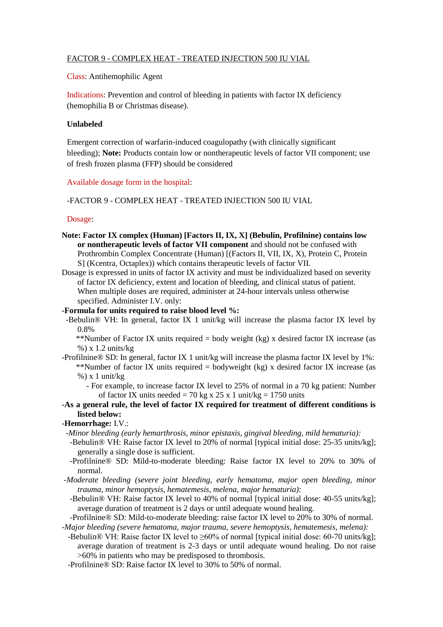## FACTOR 9 - COMPLEX HEAT - TREATED INJECTION 500 IU VIAL

Class: Antihemophilic Agent

Indications: Prevention and control of bleeding in patients with factor IX deficiency (hemophilia B or Christmas disease).

## **Unlabeled**

Emergent correction of warfarin-induced coagulopathy (with clinically significant bleeding); **Note:** Products contain low or nontherapeutic levels of factor VII component; use of fresh frozen plasma (FFP) should be considered

#### Available dosage form in the hospital:

## -FACTOR 9 - COMPLEX HEAT - TREATED INJECTION 500 IU VIAL

#### Dosage:

- **Note: Factor IX complex (Human) [Factors II, IX, X] (Bebulin, Profilnine) contains low or nontherapeutic levels of factor VII component** and should not be confused with Prothrombin Complex Concentrate (Human) [(Factors II, VII, IX, X), Protein C, Protein S] (Kcentra, Octaplex)) which contains therapeutic levels of factor VII.
- Dosage is expressed in units of factor IX activity and must be individualized based on severity of factor IX deficiency, extent and location of bleeding, and clinical status of patient. When multiple doses are required, administer at 24-hour intervals unless otherwise specified. Administer I.V. only:

## **-Formula for units required to raise blood level %:**

 -Bebulin® VH: In general, factor IX 1 unit/kg will increase the plasma factor IX level by 0.8%

\*\*Number of Factor IX units required  $=$  body weight (kg) x desired factor IX increase (as %) x 1.2 units/kg

- -Profilnine® SD: In general, factor IX 1 unit/kg will increase the plasma factor IX level by 1%: \*\*Number of factor IX units required = bodyweight (kg) x desired factor IX increase (as  $%$ ) x 1 unit/kg
	- For example, to increase factor IX level to 25% of normal in a 70 kg patient: Number of factor IX units needed = 70 kg x 25 x 1 unit/kg = 1750 units
- **-As a general rule, the level of factor IX required for treatment of different conditions is listed below:**

# **-Hemorrhage:** I.V.:

- *-Minor bleeding (early hemarthrosis, minor epistaxis, gingival bleeding, mild hematuria):*
	- -Bebulin® VH: Raise factor IX level to 20% of normal [typical initial dose: 25-35 units/kg]; generally a single dose is sufficient.
	- -Profilnine® SD: Mild-to-moderate bleeding: Raise factor IX level to 20% to 30% of normal.
- *-Moderate bleeding (severe joint bleeding, early hematoma, major open bleeding, minor trauma, minor hemoptysis, hematemesis, melena, major hematuria):*
	- -Bebulin® VH: Raise factor IX level to 40% of normal [typical initial dose: 40-55 units/kg]; average duration of treatment is 2 days or until adequate wound healing.
- -Profilnine® SD: Mild-to-moderate bleeding: raise factor IX level to 20% to 30% of normal. *-Major bleeding (severe hematoma, major trauma, severe hemoptysis, hematemesis, melena):*
	- -Bebulin® VH: Raise factor IX level to ≥60% of normal [typical initial dose: 60-70 units/kg]; average duration of treatment is 2-3 days or until adequate wound healing. Do not raise >60% in patients who may be predisposed to thrombosis.
	- -Profilnine® SD: Raise factor IX level to 30% to 50% of normal.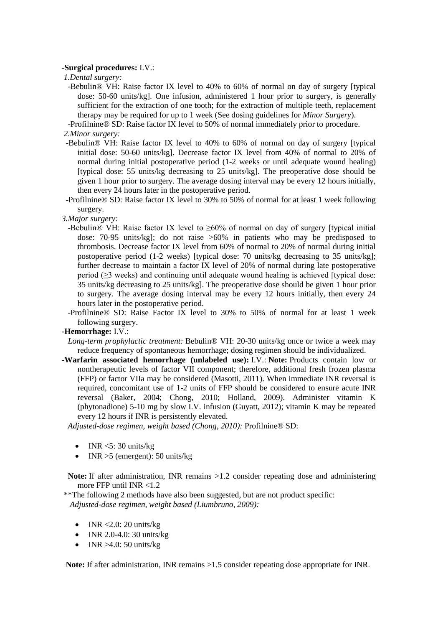## **-Surgical procedures:** I.V.:

*1.Dental surgery:*

- -Bebulin® VH: Raise factor IX level to 40% to 60% of normal on day of surgery [typical dose: 50-60 units/kg]. One infusion, administered 1 hour prior to surgery, is generally sufficient for the extraction of one tooth; for the extraction of multiple teeth, replacement therapy may be required for up to 1 week (See dosing guidelines for *Minor Surgery*).
- -Profilnine® SD: Raise factor IX level to 50% of normal immediately prior to procedure.

*2.Minor surgery:*

- -Bebulin® VH: Raise factor IX level to 40% to 60% of normal on day of surgery [typical initial dose: 50-60 units/kg]. Decrease factor IX level from 40% of normal to 20% of normal during initial postoperative period (1-2 weeks or until adequate wound healing) [typical dose: 55 units/kg decreasing to 25 units/kg]. The preoperative dose should be given 1 hour prior to surgery. The average dosing interval may be every 12 hours initially, then every 24 hours later in the postoperative period.
- -Profilnine® SD: Raise factor IX level to 30% to 50% of normal for at least 1 week following surgery.

*3.Major surgery:*

- -Bebulin® VH: Raise factor IX level to ≥60% of normal on day of surgery [typical initial dose: 70-95 units/kg]; do not raise >60% in patients who may be predisposed to thrombosis. Decrease factor IX level from 60% of normal to 20% of normal during initial postoperative period (1-2 weeks) [typical dose: 70 units/kg decreasing to 35 units/kg]; further decrease to maintain a factor IX level of 20% of normal during late postoperative period (≥3 weeks) and continuing until adequate wound healing is achieved [typical dose: 35 units/kg decreasing to 25 units/kg]. The preoperative dose should be given 1 hour prior to surgery. The average dosing interval may be every 12 hours initially, then every 24 hours later in the postoperative period.
- -Profilnine® SD: Raise Factor IX level to 30% to 50% of normal for at least 1 week following surgery.

## **-Hemorrhage:** I.V.:

- *Long-term prophylactic treatment:* Bebulin® VH: 20-30 units/kg once or twice a week may reduce frequency of spontaneous hemorrhage; dosing regimen should be individualized.
- **-Warfarin associated hemorrhage (unlabeled use):** I.V.: **Note:** Products contain low or nontherapeutic levels of factor VII component; therefore, additional fresh frozen plasma (FFP) or factor VIIa may be considered (Masotti, 2011). When immediate INR reversal is required, concomitant use of 1-2 units of FFP should be considered to ensure acute INR reversal (Baker, 2004; Chong, 2010; Holland, 2009). Administer vitamin K (phytonadione) 5-10 mg by slow I.V. infusion (Guyatt, 2012); vitamin K may be repeated every 12 hours if INR is persistently elevated.

 *Adjusted-dose regimen, weight based (Chong, 2010):* Profilnine® SD:

- $\bullet$  INR <5: 30 units/kg
- $\bullet$  INR > 5 (emergent): 50 units/kg

 **Note:** If after administration, INR remains >1.2 consider repeating dose and administering more FFP until INR <1.2

\*\*The following 2 methods have also been suggested, but are not product specific:  *Adjusted-dose regimen, weight based (Liumbruno, 2009):*

- $\bullet$  INR <2.0: 20 units/kg
- INR 2.0-4.0: 30 units/kg
- $\bullet$  INR >4.0: 50 units/kg

 **Note:** If after administration, INR remains >1.5 consider repeating dose appropriate for INR.